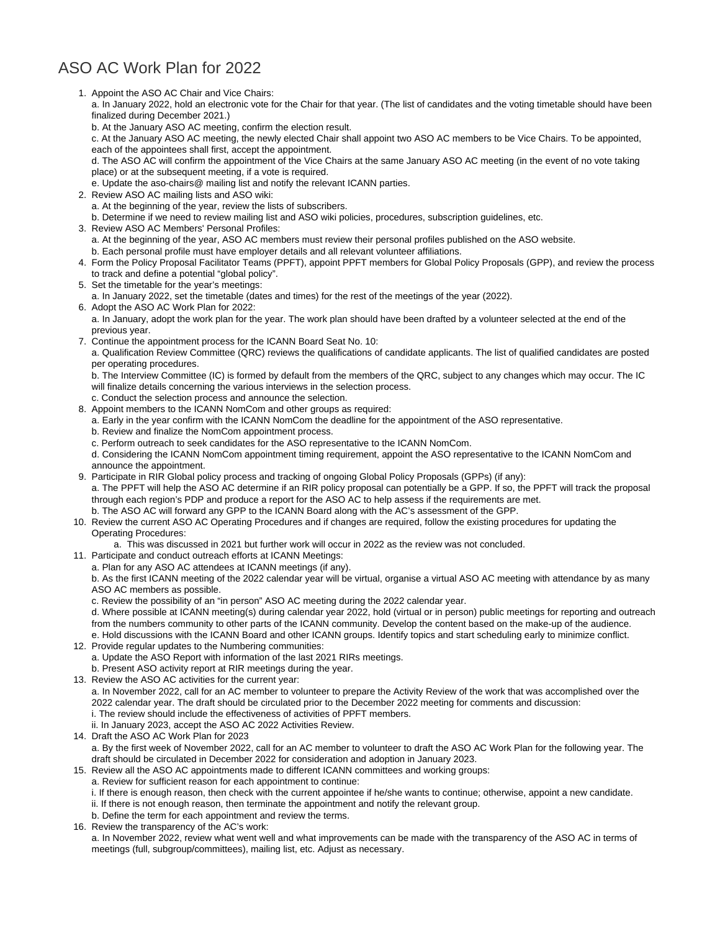## ASO AC Work Plan for 2022

- 1. Appoint the ASO AC Chair and Vice Chairs: 2. Review ASO AC mailing lists and ASO wiki: 3. Review ASO AC Members' Personal Profiles: 4. Form the Policy Proposal Facilitator Teams (PPFT), appoint PPFT members for Global Policy Proposals (GPP), and review the process 5. Set the timetable for the year's meetings: 6. Adopt the ASO AC Work Plan for 2022: 7. Continue the appointment process for the ICANN Board Seat No. 10: 8. Appoint members to the ICANN NomCom and other groups as required: 9. Participate in RIR Global policy process and tracking of ongoing Global Policy Proposals (GPPs) (if any): a. In January 2022, hold an electronic vote for the Chair for that year. (The list of candidates and the voting timetable should have been finalized during December 2021.) b. At the January ASO AC meeting, confirm the election result. c. At the January ASO AC meeting, the newly elected Chair shall appoint two ASO AC members to be Vice Chairs. To be appointed, each of the appointees shall first, accept the appointment. d. The ASO AC will confirm the appointment of the Vice Chairs at the same January ASO AC meeting (in the event of no vote taking place) or at the subsequent meeting, if a vote is required. e. Update the aso-chairs@ mailing list and notify the relevant ICANN parties. a. At the beginning of the year, review the lists of subscribers. b. Determine if we need to review mailing list and ASO wiki policies, procedures, subscription guidelines, etc. a. At the beginning of the year, ASO AC members must review their personal profiles published on the ASO website. b. Each personal profile must have employer details and all relevant volunteer affiliations. to track and define a potential "global policy". a. In January 2022, set the timetable (dates and times) for the rest of the meetings of the year (2022). a. In January, adopt the work plan for the year. The work plan should have been drafted by a volunteer selected at the end of the previous year. a. Qualification Review Committee (QRC) reviews the qualifications of candidate applicants. The list of qualified candidates are posted per operating procedures. b. The Interview Committee (IC) is formed by default from the members of the QRC, subject to any changes which may occur. The IC will finalize details concerning the various interviews in the selection process. c. Conduct the selection process and announce the selection. a. Early in the year confirm with the ICANN NomCom the deadline for the appointment of the ASO representative. b. Review and finalize the NomCom appointment process. c. Perform outreach to seek candidates for the ASO representative to the ICANN NomCom. d. Considering the ICANN NomCom appointment timing requirement, appoint the ASO representative to the ICANN NomCom and announce the appointment. a. The PPFT will help the ASO AC determine if an RIR policy proposal can potentially be a GPP. If so, the PPFT will track the proposal through each region's PDP and produce a report for the ASO AC to help assess if the requirements are met.
- b. The ASO AC will forward any GPP to the ICANN Board along with the AC's assessment of the GPP.

## 10. Review the current ASO AC Operating Procedures and if changes are required, follow the existing procedures for updating the Operating Procedures:

- a. This was discussed in 2021 but further work will occur in 2022 as the review was not concluded.
- 11. Participate and conduct outreach efforts at ICANN Meetings:
	- a. Plan for any ASO AC attendees at ICANN meetings (if any).

b. As the first ICANN meeting of the 2022 calendar year will be virtual, organise a virtual ASO AC meeting with attendance by as many ASO AC members as possible.

c. Review the possibility of an "in person" ASO AC meeting during the 2022 calendar year.

d. Where possible at ICANN meeting(s) during calendar year 2022, hold (virtual or in person) public meetings for reporting and outreach from the numbers community to other parts of the ICANN community. Develop the content based on the make-up of the audience. e. Hold discussions with the ICANN Board and other ICANN groups. Identify topics and start scheduling early to minimize conflict.

12. Provide regular updates to the Numbering communities:

a. Update the ASO Report with information of the last 2021 RIRs meetings.

b. Present ASO activity report at RIR meetings during the year.

- 13. Review the ASO AC activities for the current year: a. In November 2022, call for an AC member to volunteer to prepare the Activity Review of the work that was accomplished over the 2022 calendar year. The draft should be circulated prior to the December 2022 meeting for comments and discussion: i. The review should include the effectiveness of activities of PPFT members.
	- ii. In January 2023, accept the ASO AC 2022 Activities Review.
- 14. Draft the ASO AC Work Plan for 2023 a. By the first week of November 2022, call for an AC member to volunteer to draft the ASO AC Work Plan for the following year. The draft should be circulated in December 2022 for consideration and adoption in January 2023.
- 15. Review all the ASO AC appointments made to different ICANN committees and working groups:
	- a. Review for sufficient reason for each appointment to continue:
	- i. If there is enough reason, then check with the current appointee if he/she wants to continue; otherwise, appoint a new candidate.
	- ii. If there is not enough reason, then terminate the appointment and notify the relevant group.
	- b. Define the term for each appointment and review the terms.
- 16. Review the transparency of the AC's work:

a. In November 2022, review what went well and what improvements can be made with the transparency of the ASO AC in terms of meetings (full, subgroup/committees), mailing list, etc. Adjust as necessary.